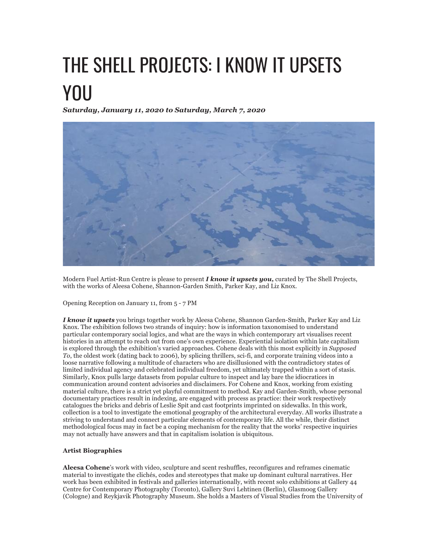## THE SHELL PROJECTS: I KNOW IT UPSETS YOU

*Saturday, January 11, 2020 to Saturday, March 7, 2020*



Modern Fuel Artist-Run Centre is please to present *I know it upsets you,* curated by The Shell Projects, with the works of Aleesa Cohene, Shannon-Garden Smith, Parker Kay, and Liz Knox.

Opening Reception on January 11, from 5 - 7 PM

*I know it upsets* you brings together work by Aleesa Cohene, Shannon Garden-Smith, Parker Kay and Liz Knox. The exhibition follows two strands of inquiry: how is information taxonomised to understand particular contemporary social logics, and what are the ways in which contemporary art visualises recent histories in an attempt to reach out from one's own experience. Experiential isolation within late capitalism is explored through the exhibition's varied approaches. Cohene deals with this most explicitly in *Supposed To*, the oldest work (dating back to 2006), by splicing thrillers, sci-fi, and corporate training videos into a loose narrative following a multitude of characters who are disillusioned with the contradictory states of limited individual agency and celebrated individual freedom, yet ultimately trapped within a sort of stasis. Similarly, Knox pulls large datasets from popular culture to inspect and lay bare the idiocratices in communication around content advisories and disclaimers. For Cohene and Knox, working from existing material culture, there is a strict yet playful commitment to method. Kay and Garden-Smith, whose personal documentary practices result in indexing, are engaged with process as practice: their work respectively catalogues the bricks and debris of Leslie Spit and cast footprints imprinted on sidewalks. In this work, collection is a tool to investigate the emotional geography of the architectural everyday. All works illustrate a striving to understand and connect particular elements of contemporary life. All the while, their distinct methodological focus may in fact be a coping mechanism for the reality that the works' respective inquiries may not actually have answers and that in capitalism isolation is ubiquitous.

## **Artist Biographies**

**Aleesa Cohene**'s work with video, sculpture and scent reshuffles, reconfigures and reframes cinematic material to investigate the clichés, codes and stereotypes that make up dominant cultural narratives. Her work has been exhibited in festivals and galleries internationally, with recent solo exhibitions at Gallery 44 Centre for Contemporary Photography (Toronto), Gallery Suvi Lehtinen (Berlin), Glasmoog Gallery (Cologne) and Reykjavik Photography Museum. She holds a Masters of Visual Studies from the University of